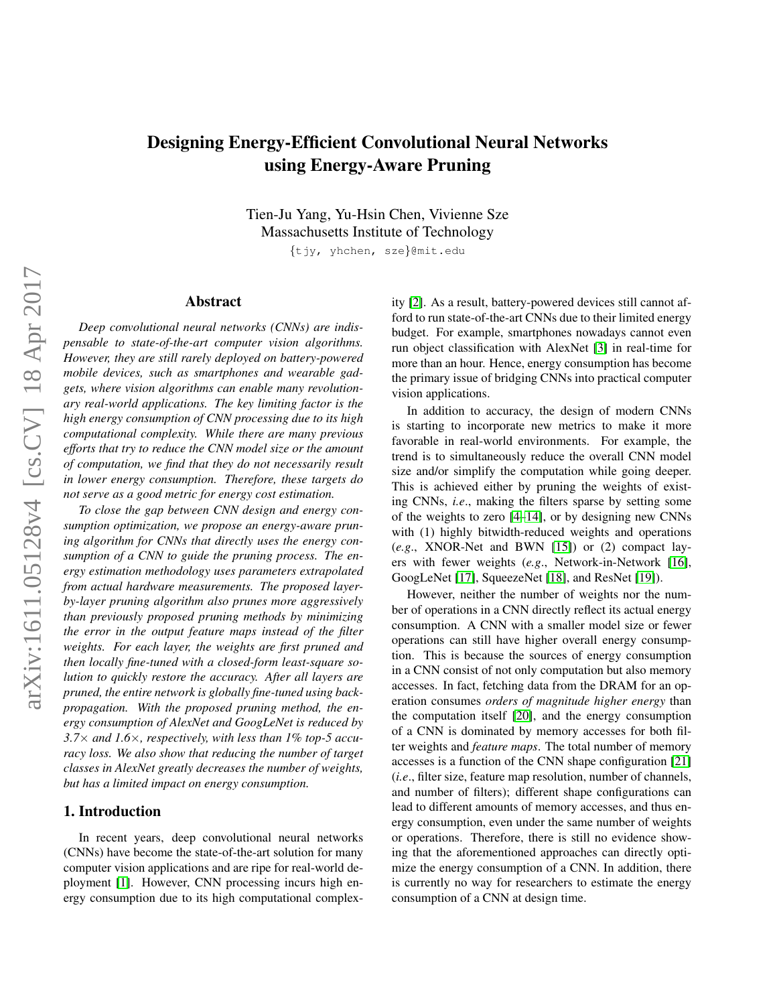# Designing Energy-Efficient Convolutional Neural Networks using Energy-Aware Pruning

Tien-Ju Yang, Yu-Hsin Chen, Vivienne Sze Massachusetts Institute of Technology

{tjy, yhchen, sze}@mit.edu

### Abstract

*Deep convolutional neural networks (CNNs) are indispensable to state-of-the-art computer vision algorithms. However, they are still rarely deployed on battery-powered mobile devices, such as smartphones and wearable gadgets, where vision algorithms can enable many revolutionary real-world applications. The key limiting factor is the high energy consumption of CNN processing due to its high computational complexity. While there are many previous efforts that try to reduce the CNN model size or the amount of computation, we find that they do not necessarily result in lower energy consumption. Therefore, these targets do not serve as a good metric for energy cost estimation.*

*To close the gap between CNN design and energy consumption optimization, we propose an energy-aware pruning algorithm for CNNs that directly uses the energy consumption of a CNN to guide the pruning process. The energy estimation methodology uses parameters extrapolated from actual hardware measurements. The proposed layerby-layer pruning algorithm also prunes more aggressively than previously proposed pruning methods by minimizing the error in the output feature maps instead of the filter weights. For each layer, the weights are first pruned and then locally fine-tuned with a closed-form least-square solution to quickly restore the accuracy. After all layers are pruned, the entire network is globally fine-tuned using backpropagation. With the proposed pruning method, the energy consumption of AlexNet and GoogLeNet is reduced by 3.7*× *and 1.6*×*, respectively, with less than 1% top-5 accuracy loss. We also show that reducing the number of target classes in AlexNet greatly decreases the number of weights, but has a limited impact on energy consumption.*

## <span id="page-0-0"></span>1. Introduction

In recent years, deep convolutional neural networks (CNNs) have become the state-of-the-art solution for many computer vision applications and are ripe for real-world deployment [\[1\]](#page-8-0). However, CNN processing incurs high energy consumption due to its high computational complexity [\[2\]](#page-8-1). As a result, battery-powered devices still cannot afford to run state-of-the-art CNNs due to their limited energy budget. For example, smartphones nowadays cannot even run object classification with AlexNet [\[3\]](#page-8-2) in real-time for more than an hour. Hence, energy consumption has become the primary issue of bridging CNNs into practical computer vision applications.

In addition to accuracy, the design of modern CNNs is starting to incorporate new metrics to make it more favorable in real-world environments. For example, the trend is to simultaneously reduce the overall CNN model size and/or simplify the computation while going deeper. This is achieved either by pruning the weights of existing CNNs, *i.e*., making the filters sparse by setting some of the weights to zero [\[4–](#page-8-3)[14\]](#page-8-4), or by designing new CNNs with (1) highly bitwidth-reduced weights and operations (*e.g*., XNOR-Net and BWN [\[15\]](#page-8-5)) or (2) compact layers with fewer weights (*e.g*., Network-in-Network [\[16\]](#page-8-6), GoogLeNet [\[17\]](#page-8-7), SqueezeNet [\[18\]](#page-8-8), and ResNet [\[19\]](#page-8-9)).

However, neither the number of weights nor the number of operations in a CNN directly reflect its actual energy consumption. A CNN with a smaller model size or fewer operations can still have higher overall energy consumption. This is because the sources of energy consumption in a CNN consist of not only computation but also memory accesses. In fact, fetching data from the DRAM for an operation consumes *orders of magnitude higher energy* than the computation itself [\[20\]](#page-8-10), and the energy consumption of a CNN is dominated by memory accesses for both filter weights and *feature maps*. The total number of memory accesses is a function of the CNN shape configuration [\[21\]](#page-8-11) (*i.e*., filter size, feature map resolution, number of channels, and number of filters); different shape configurations can lead to different amounts of memory accesses, and thus energy consumption, even under the same number of weights or operations. Therefore, there is still no evidence showing that the aforementioned approaches can directly optimize the energy consumption of a CNN. In addition, there is currently no way for researchers to estimate the energy consumption of a CNN at design time.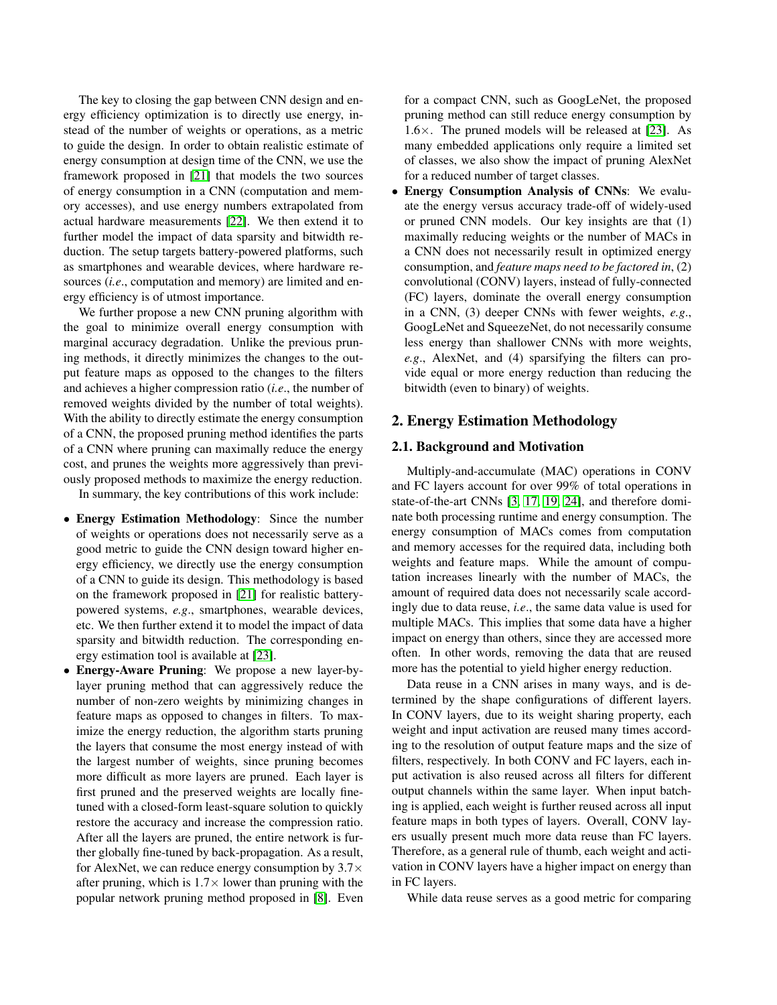The key to closing the gap between CNN design and energy efficiency optimization is to directly use energy, instead of the number of weights or operations, as a metric to guide the design. In order to obtain realistic estimate of energy consumption at design time of the CNN, we use the framework proposed in [\[21\]](#page-8-11) that models the two sources of energy consumption in a CNN (computation and memory accesses), and use energy numbers extrapolated from actual hardware measurements [\[22\]](#page-8-12). We then extend it to further model the impact of data sparsity and bitwidth reduction. The setup targets battery-powered platforms, such as smartphones and wearable devices, where hardware resources (*i.e.*, computation and memory) are limited and energy efficiency is of utmost importance.

We further propose a new CNN pruning algorithm with the goal to minimize overall energy consumption with marginal accuracy degradation. Unlike the previous pruning methods, it directly minimizes the changes to the output feature maps as opposed to the changes to the filters and achieves a higher compression ratio (*i.e*., the number of removed weights divided by the number of total weights). With the ability to directly estimate the energy consumption of a CNN, the proposed pruning method identifies the parts of a CNN where pruning can maximally reduce the energy cost, and prunes the weights more aggressively than previously proposed methods to maximize the energy reduction.

In summary, the key contributions of this work include:

- Energy Estimation Methodology: Since the number of weights or operations does not necessarily serve as a good metric to guide the CNN design toward higher energy efficiency, we directly use the energy consumption of a CNN to guide its design. This methodology is based on the framework proposed in [\[21\]](#page-8-11) for realistic batterypowered systems, *e.g*., smartphones, wearable devices, etc. We then further extend it to model the impact of data sparsity and bitwidth reduction. The corresponding energy estimation tool is available at [\[23\]](#page-8-13).
- Energy-Aware Pruning: We propose a new layer-bylayer pruning method that can aggressively reduce the number of non-zero weights by minimizing changes in feature maps as opposed to changes in filters. To maximize the energy reduction, the algorithm starts pruning the layers that consume the most energy instead of with the largest number of weights, since pruning becomes more difficult as more layers are pruned. Each layer is first pruned and the preserved weights are locally finetuned with a closed-form least-square solution to quickly restore the accuracy and increase the compression ratio. After all the layers are pruned, the entire network is further globally fine-tuned by back-propagation. As a result, for AlexNet, we can reduce energy consumption by  $3.7\times$ after pruning, which is  $1.7 \times$  lower than pruning with the popular network pruning method proposed in [\[8\]](#page-8-14). Even

for a compact CNN, such as GoogLeNet, the proposed pruning method can still reduce energy consumption by 1.6×. The pruned models will be released at [\[23\]](#page-8-13). As many embedded applications only require a limited set of classes, we also show the impact of pruning AlexNet for a reduced number of target classes.

• Energy Consumption Analysis of CNNs: We evaluate the energy versus accuracy trade-off of widely-used or pruned CNN models. Our key insights are that (1) maximally reducing weights or the number of MACs in a CNN does not necessarily result in optimized energy consumption, and *feature maps need to be factored in*, (2) convolutional (CONV) layers, instead of fully-connected (FC) layers, dominate the overall energy consumption in a CNN, (3) deeper CNNs with fewer weights, *e.g*., GoogLeNet and SqueezeNet, do not necessarily consume less energy than shallower CNNs with more weights, *e.g*., AlexNet, and (4) sparsifying the filters can provide equal or more energy reduction than reducing the bitwidth (even to binary) of weights.

## <span id="page-1-0"></span>2. Energy Estimation Methodology

# <span id="page-1-1"></span>2.1. Background and Motivation

Multiply-and-accumulate (MAC) operations in CONV and FC layers account for over 99% of total operations in state-of-the-art CNNs [\[3,](#page-8-2) [17,](#page-8-7) [19,](#page-8-9) [24\]](#page-8-15), and therefore dominate both processing runtime and energy consumption. The energy consumption of MACs comes from computation and memory accesses for the required data, including both weights and feature maps. While the amount of computation increases linearly with the number of MACs, the amount of required data does not necessarily scale accordingly due to data reuse, *i.e*., the same data value is used for multiple MACs. This implies that some data have a higher impact on energy than others, since they are accessed more often. In other words, removing the data that are reused more has the potential to yield higher energy reduction.

Data reuse in a CNN arises in many ways, and is determined by the shape configurations of different layers. In CONV layers, due to its weight sharing property, each weight and input activation are reused many times according to the resolution of output feature maps and the size of filters, respectively. In both CONV and FC layers, each input activation is also reused across all filters for different output channels within the same layer. When input batching is applied, each weight is further reused across all input feature maps in both types of layers. Overall, CONV layers usually present much more data reuse than FC layers. Therefore, as a general rule of thumb, each weight and activation in CONV layers have a higher impact on energy than in FC layers.

While data reuse serves as a good metric for comparing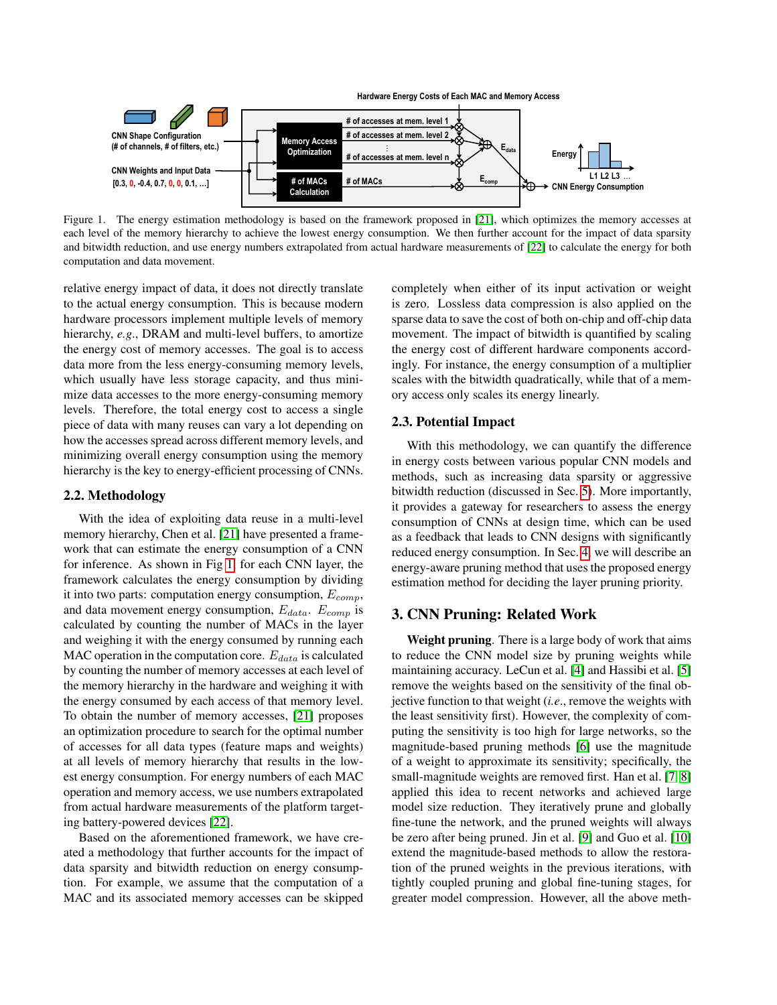

<span id="page-2-0"></span>Figure 1. The energy estimation methodology is based on the framework proposed in [\[21\]](#page-8-11), which optimizes the memory accesses at each level of the memory hierarchy to achieve the lowest energy consumption. We then further account for the impact of data sparsity and bitwidth reduction, and use energy numbers extrapolated from actual hardware measurements of [\[22\]](#page-8-12) to calculate the energy for both computation and data movement.

relative energy impact of data, it does not directly translate to the actual energy consumption. This is because modern hardware processors implement multiple levels of memory hierarchy, *e.g*., DRAM and multi-level buffers, to amortize the energy cost of memory accesses. The goal is to access data more from the less energy-consuming memory levels, which usually have less storage capacity, and thus minimize data accesses to the more energy-consuming memory levels. Therefore, the total energy cost to access a single piece of data with many reuses can vary a lot depending on how the accesses spread across different memory levels, and minimizing overall energy consumption using the memory hierarchy is the key to energy-efficient processing of CNNs.

## 2.2. Methodology

With the idea of exploiting data reuse in a multi-level memory hierarchy, Chen et al. [\[21\]](#page-8-11) have presented a framework that can estimate the energy consumption of a CNN for inference. As shown in Fig [1,](#page-2-0) for each CNN layer, the framework calculates the energy consumption by dividing it into two parts: computation energy consumption,  $E_{comp}$ , and data movement energy consumption,  $E_{data}$ .  $E_{comp}$  is calculated by counting the number of MACs in the layer and weighing it with the energy consumed by running each MAC operation in the computation core.  $E_{data}$  is calculated by counting the number of memory accesses at each level of the memory hierarchy in the hardware and weighing it with the energy consumed by each access of that memory level. To obtain the number of memory accesses, [\[21\]](#page-8-11) proposes an optimization procedure to search for the optimal number of accesses for all data types (feature maps and weights) at all levels of memory hierarchy that results in the lowest energy consumption. For energy numbers of each MAC operation and memory access, we use numbers extrapolated from actual hardware measurements of the platform targeting battery-powered devices [\[22\]](#page-8-12).

Based on the aforementioned framework, we have created a methodology that further accounts for the impact of data sparsity and bitwidth reduction on energy consumption. For example, we assume that the computation of a MAC and its associated memory accesses can be skipped completely when either of its input activation or weight is zero. Lossless data compression is also applied on the sparse data to save the cost of both on-chip and off-chip data movement. The impact of bitwidth is quantified by scaling the energy cost of different hardware components accordingly. For instance, the energy consumption of a multiplier scales with the bitwidth quadratically, while that of a memory access only scales its energy linearly.

#### 2.3. Potential Impact

With this methodology, we can quantify the difference in energy costs between various popular CNN models and methods, such as increasing data sparsity or aggressive bitwidth reduction (discussed in Sec. [5\)](#page-5-0). More importantly, it provides a gateway for researchers to assess the energy consumption of CNNs at design time, which can be used as a feedback that leads to CNN designs with significantly reduced energy consumption. In Sec. [4,](#page-3-0) we will describe an energy-aware pruning method that uses the proposed energy estimation method for deciding the layer pruning priority.

# 3. CNN Pruning: Related Work

Weight pruning. There is a large body of work that aims to reduce the CNN model size by pruning weights while maintaining accuracy. LeCun et al. [\[4\]](#page-8-3) and Hassibi et al. [\[5\]](#page-8-16) remove the weights based on the sensitivity of the final objective function to that weight (*i.e*., remove the weights with the least sensitivity first). However, the complexity of computing the sensitivity is too high for large networks, so the magnitude-based pruning methods [\[6\]](#page-8-17) use the magnitude of a weight to approximate its sensitivity; specifically, the small-magnitude weights are removed first. Han et al. [\[7,](#page-8-18) [8\]](#page-8-14) applied this idea to recent networks and achieved large model size reduction. They iteratively prune and globally fine-tune the network, and the pruned weights will always be zero after being pruned. Jin et al. [\[9\]](#page-8-19) and Guo et al. [\[10\]](#page-8-20) extend the magnitude-based methods to allow the restoration of the pruned weights in the previous iterations, with tightly coupled pruning and global fine-tuning stages, for greater model compression. However, all the above meth-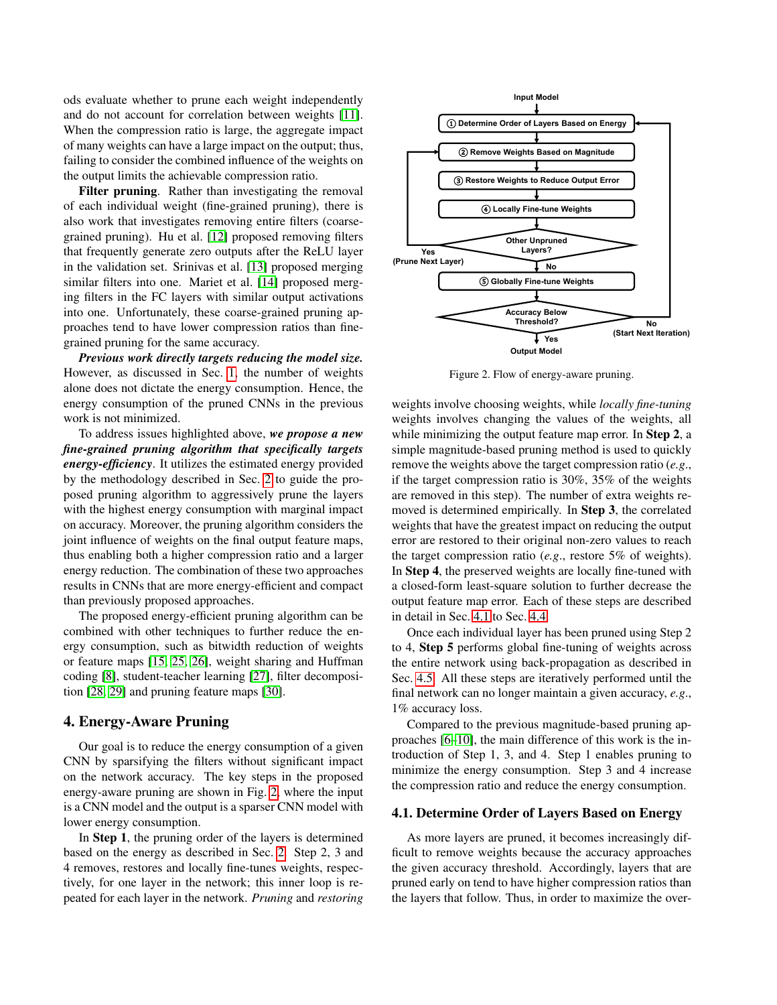ods evaluate whether to prune each weight independently and do not account for correlation between weights [\[11\]](#page-8-21). When the compression ratio is large, the aggregate impact of many weights can have a large impact on the output; thus, failing to consider the combined influence of the weights on the output limits the achievable compression ratio.

Filter pruning. Rather than investigating the removal of each individual weight (fine-grained pruning), there is also work that investigates removing entire filters (coarsegrained pruning). Hu et al. [\[12\]](#page-8-22) proposed removing filters that frequently generate zero outputs after the ReLU layer in the validation set. Srinivas et al. [\[13\]](#page-8-23) proposed merging similar filters into one. Mariet et al. [\[14\]](#page-8-4) proposed merging filters in the FC layers with similar output activations into one. Unfortunately, these coarse-grained pruning approaches tend to have lower compression ratios than finegrained pruning for the same accuracy.

*Previous work directly targets reducing the model size.* However, as discussed in Sec. [1,](#page-0-0) the number of weights alone does not dictate the energy consumption. Hence, the energy consumption of the pruned CNNs in the previous work is not minimized.

To address issues highlighted above, *we propose a new fine-grained pruning algorithm that specifically targets energy-efficiency*. It utilizes the estimated energy provided by the methodology described in Sec. [2](#page-1-0) to guide the proposed pruning algorithm to aggressively prune the layers with the highest energy consumption with marginal impact on accuracy. Moreover, the pruning algorithm considers the joint influence of weights on the final output feature maps, thus enabling both a higher compression ratio and a larger energy reduction. The combination of these two approaches results in CNNs that are more energy-efficient and compact than previously proposed approaches.

The proposed energy-efficient pruning algorithm can be combined with other techniques to further reduce the energy consumption, such as bitwidth reduction of weights or feature maps [\[15,](#page-8-5) [25,](#page-8-24) [26\]](#page-8-25), weight sharing and Huffman coding [\[8\]](#page-8-14), student-teacher learning [\[27\]](#page-8-26), filter decomposition [\[28,](#page-8-27) [29\]](#page-8-28) and pruning feature maps [\[30\]](#page-8-29).

## <span id="page-3-0"></span>4. Energy-Aware Pruning

Our goal is to reduce the energy consumption of a given CNN by sparsifying the filters without significant impact on the network accuracy. The key steps in the proposed energy-aware pruning are shown in Fig. [2,](#page-3-1) where the input is a CNN model and the output is a sparser CNN model with lower energy consumption.

In Step 1, the pruning order of the layers is determined based on the energy as described in Sec. [2.](#page-1-0) Step 2, 3 and 4 removes, restores and locally fine-tunes weights, respectively, for one layer in the network; this inner loop is repeated for each layer in the network. *Pruning* and *restoring*



<span id="page-3-1"></span>Figure 2. Flow of energy-aware pruning.

weights involve choosing weights, while *locally fine-tuning* weights involves changing the values of the weights, all while minimizing the output feature map error. In **Step 2**, a simple magnitude-based pruning method is used to quickly remove the weights above the target compression ratio (*e.g*., if the target compression ratio is 30%, 35% of the weights are removed in this step). The number of extra weights removed is determined empirically. In Step 3, the correlated weights that have the greatest impact on reducing the output error are restored to their original non-zero values to reach the target compression ratio (*e.g*., restore 5% of weights). In Step 4, the preserved weights are locally fine-tuned with a closed-form least-square solution to further decrease the output feature map error. Each of these steps are described in detail in Sec. [4.1](#page-3-2) to Sec. [4.4.](#page-4-0)

Once each individual layer has been pruned using Step 2 to 4, Step 5 performs global fine-tuning of weights across the entire network using back-propagation as described in Sec. [4.5.](#page-4-1) All these steps are iteratively performed until the final network can no longer maintain a given accuracy, *e.g*., 1% accuracy loss.

Compared to the previous magnitude-based pruning approaches [\[6](#page-8-17)[–10\]](#page-8-20), the main difference of this work is the introduction of Step 1, 3, and 4. Step 1 enables pruning to minimize the energy consumption. Step 3 and 4 increase the compression ratio and reduce the energy consumption.

#### <span id="page-3-2"></span>4.1. Determine Order of Layers Based on Energy

As more layers are pruned, it becomes increasingly difficult to remove weights because the accuracy approaches the given accuracy threshold. Accordingly, layers that are pruned early on tend to have higher compression ratios than the layers that follow. Thus, in order to maximize the over-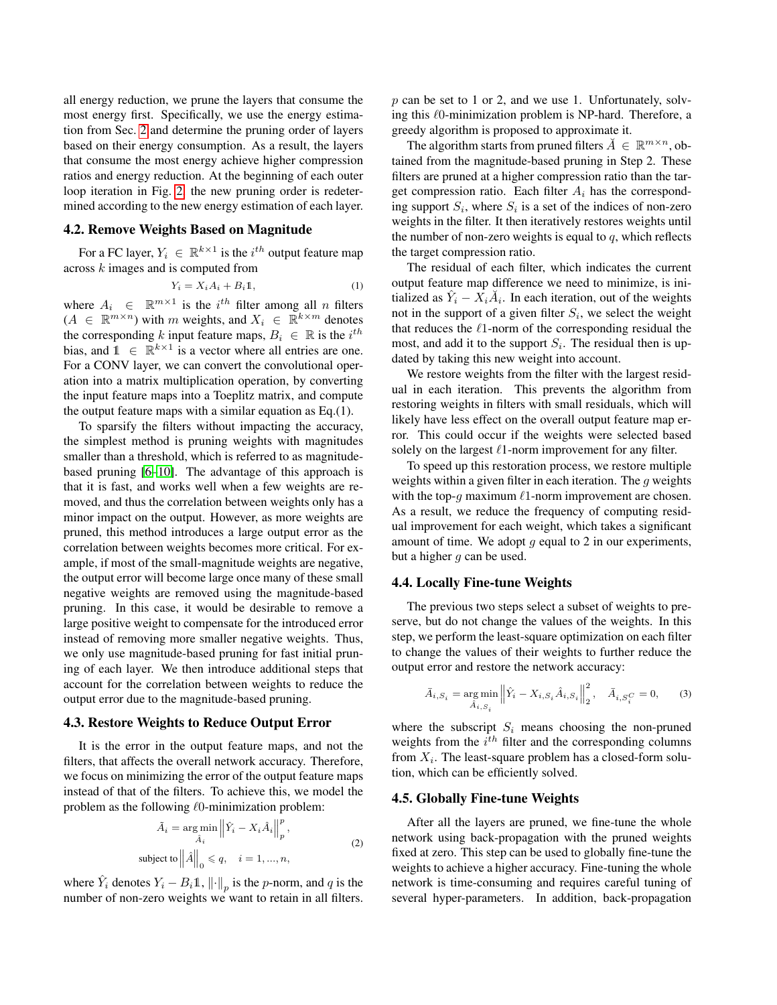all energy reduction, we prune the layers that consume the most energy first. Specifically, we use the energy estimation from Sec. [2](#page-1-0) and determine the pruning order of layers based on their energy consumption. As a result, the layers that consume the most energy achieve higher compression ratios and energy reduction. At the beginning of each outer loop iteration in Fig. [2,](#page-3-1) the new pruning order is redetermined according to the new energy estimation of each layer.

# 4.2. Remove Weights Based on Magnitude

For a FC layer,  $Y_i \in \mathbb{R}^{k \times 1}$  is the  $i^{th}$  output feature map across k images and is computed from

$$
Y_i = X_i A_i + B_i \mathbb{1},\tag{1}
$$

where  $A_i \in \mathbb{R}^{m \times 1}$  is the  $i^{th}$  filter among all n filters  $(A \in \mathbb{R}^{m \times n})$  with m weights, and  $X_i \in \mathbb{R}^{k \times m}$  denotes the corresponding k input feature maps,  $B_i \in \mathbb{R}$  is the  $i^{th}$ bias, and  $1 \in \mathbb{R}^{k \times 1}$  is a vector where all entries are one. For a CONV layer, we can convert the convolutional operation into a matrix multiplication operation, by converting the input feature maps into a Toeplitz matrix, and compute the output feature maps with a similar equation as Eq.(1).

To sparsify the filters without impacting the accuracy, the simplest method is pruning weights with magnitudes smaller than a threshold, which is referred to as magnitudebased pruning [\[6](#page-8-17)[–10\]](#page-8-20). The advantage of this approach is that it is fast, and works well when a few weights are removed, and thus the correlation between weights only has a minor impact on the output. However, as more weights are pruned, this method introduces a large output error as the correlation between weights becomes more critical. For example, if most of the small-magnitude weights are negative, the output error will become large once many of these small negative weights are removed using the magnitude-based pruning. In this case, it would be desirable to remove a large positive weight to compensate for the introduced error instead of removing more smaller negative weights. Thus, we only use magnitude-based pruning for fast initial pruning of each layer. We then introduce additional steps that account for the correlation between weights to reduce the output error due to the magnitude-based pruning.

#### 4.3. Restore Weights to Reduce Output Error

It is the error in the output feature maps, and not the filters, that affects the overall network accuracy. Therefore, we focus on minimizing the error of the output feature maps instead of that of the filters. To achieve this, we model the problem as the following  $\ell$ 0-minimization problem:

$$
\tilde{A}_i = \underset{\hat{A}_i}{\arg\min} \left\| \hat{Y}_i - X_i \hat{A}_i \right\|_p^p,
$$
\nsubject to

\n
$$
\left\| \hat{A} \right\|_0 \leq q, \quad i = 1, \dots, n,
$$
\n(2)

where  $\hat{Y}_i$  denotes  $Y_i - B_i \mathbb{1}$ ,  $\left\| \cdot \right\|_p$  is the p-norm, and q is the number of non-zero weights we want to retain in all filters.  $p$  can be set to 1 or 2, and we use 1. Unfortunately, solving this  $\ell$ 0-minimization problem is NP-hard. Therefore, a greedy algorithm is proposed to approximate it.

The algorithm starts from pruned filters  $\breve{A} \in \mathbb{R}^{m \times n}$ , obtained from the magnitude-based pruning in Step 2. These filters are pruned at a higher compression ratio than the target compression ratio. Each filter  $A_i$  has the corresponding support  $S_i$ , where  $S_i$  is a set of the indices of non-zero weights in the filter. It then iteratively restores weights until the number of non-zero weights is equal to  $q$ , which reflects the target compression ratio.

The residual of each filter, which indicates the current output feature map difference we need to minimize, is initialized as  $\hat{Y}_i - \hat{X}_i \check{A}_i$ . In each iteration, out of the weights not in the support of a given filter  $S_i$ , we select the weight that reduces the  $\ell$ 1-norm of the corresponding residual the most, and add it to the support  $S_i$ . The residual then is updated by taking this new weight into account.

We restore weights from the filter with the largest residual in each iteration. This prevents the algorithm from restoring weights in filters with small residuals, which will likely have less effect on the overall output feature map error. This could occur if the weights were selected based solely on the largest  $\ell$ 1-norm improvement for any filter.

To speed up this restoration process, we restore multiple weights within a given filter in each iteration. The  $g$  weights with the top-q maximum  $\ell$ 1-norm improvement are chosen. As a result, we reduce the frequency of computing residual improvement for each weight, which takes a significant amount of time. We adopt  $q$  equal to 2 in our experiments, but a higher  $q$  can be used.

#### <span id="page-4-0"></span>4.4. Locally Fine-tune Weights

The previous two steps select a subset of weights to preserve, but do not change the values of the weights. In this step, we perform the least-square optimization on each filter to change the values of their weights to further reduce the output error and restore the network accuracy:

$$
\bar{A}_{i,S_i} = \underset{\tilde{A}_{i,S_i}}{\arg \min} \left\| \hat{Y}_i - X_{i,S_i} \hat{A}_{i,S_i} \right\|_2^2, \quad \bar{A}_{i,S_i^C} = 0,
$$
 (3)

where the subscript  $S_i$  means choosing the non-pruned weights from the  $i^{th}$  filter and the corresponding columns from  $X_i$ . The least-square problem has a closed-form solution, which can be efficiently solved.

#### <span id="page-4-1"></span>4.5. Globally Fine-tune Weights

After all the layers are pruned, we fine-tune the whole network using back-propagation with the pruned weights fixed at zero. This step can be used to globally fine-tune the weights to achieve a higher accuracy. Fine-tuning the whole network is time-consuming and requires careful tuning of several hyper-parameters. In addition, back-propagation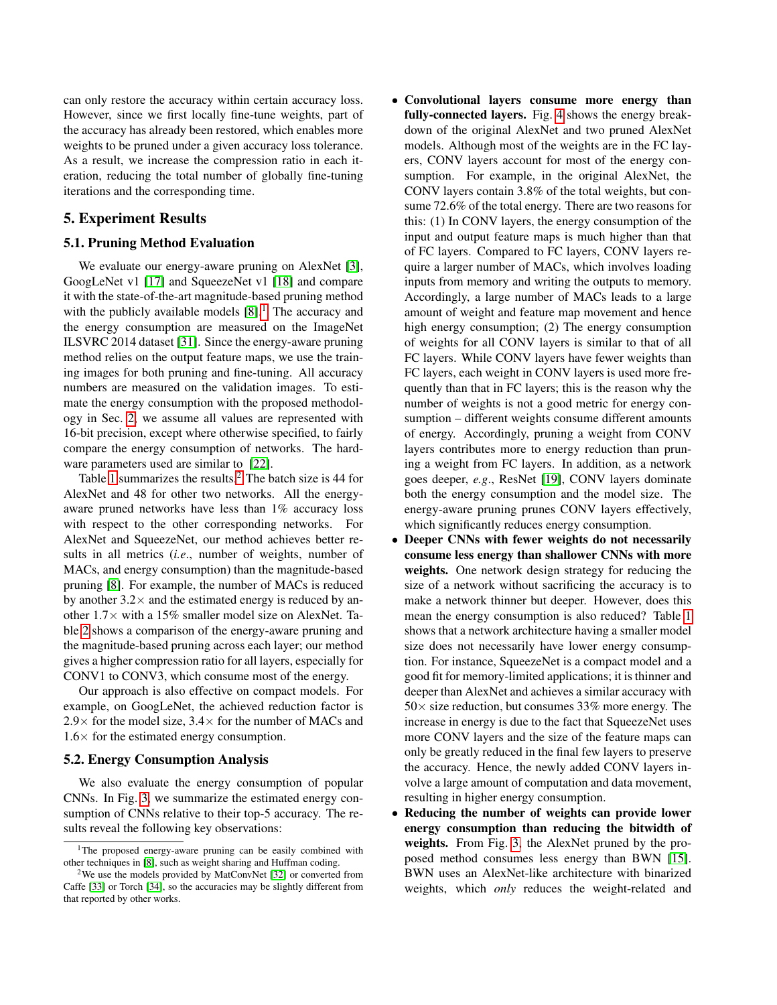can only restore the accuracy within certain accuracy loss. However, since we first locally fine-tune weights, part of the accuracy has already been restored, which enables more weights to be pruned under a given accuracy loss tolerance. As a result, we increase the compression ratio in each iteration, reducing the total number of globally fine-tuning iterations and the corresponding time.

## <span id="page-5-0"></span>5. Experiment Results

#### 5.1. Pruning Method Evaluation

We evaluate our energy-aware pruning on AlexNet [\[3\]](#page-8-2), GoogLeNet v1 [\[17\]](#page-8-7) and SqueezeNet v1 [\[18\]](#page-8-8) and compare it with the state-of-the-art magnitude-based pruning method with the publicly available models  $[8]$ <sup>[1](#page-5-1)</sup>. The accuracy and the energy consumption are measured on the ImageNet ILSVRC 2014 dataset [\[31\]](#page-8-30). Since the energy-aware pruning method relies on the output feature maps, we use the training images for both pruning and fine-tuning. All accuracy numbers are measured on the validation images. To estimate the energy consumption with the proposed methodology in Sec. [2,](#page-1-0) we assume all values are represented with 16-bit precision, except where otherwise specified, to fairly compare the energy consumption of networks. The hard-ware parameters used are similar to [\[22\]](#page-8-12).

Table [1](#page-6-0) summarizes the results.<sup>[2](#page-5-2)</sup> The batch size is 44 for AlexNet and 48 for other two networks. All the energyaware pruned networks have less than 1% accuracy loss with respect to the other corresponding networks. For AlexNet and SqueezeNet, our method achieves better results in all metrics (*i.e*., number of weights, number of MACs, and energy consumption) than the magnitude-based pruning [\[8\]](#page-8-14). For example, the number of MACs is reduced by another  $3.2 \times$  and the estimated energy is reduced by another  $1.7\times$  with a 15% smaller model size on AlexNet. Table [2](#page-6-1) shows a comparison of the energy-aware pruning and the magnitude-based pruning across each layer; our method gives a higher compression ratio for all layers, especially for CONV1 to CONV3, which consume most of the energy.

Our approach is also effective on compact models. For example, on GoogLeNet, the achieved reduction factor is  $2.9\times$  for the model size,  $3.4\times$  for the number of MACs and  $1.6\times$  for the estimated energy consumption.

#### 5.2. Energy Consumption Analysis

We also evaluate the energy consumption of popular CNNs. In Fig. [3,](#page-6-2) we summarize the estimated energy consumption of CNNs relative to their top-5 accuracy. The results reveal the following key observations:

- Convolutional layers consume more energy than fully-connected layers. Fig. [4](#page-6-3) shows the energy breakdown of the original AlexNet and two pruned AlexNet models. Although most of the weights are in the FC layers, CONV layers account for most of the energy consumption. For example, in the original AlexNet, the CONV layers contain 3.8% of the total weights, but consume 72.6% of the total energy. There are two reasons for this: (1) In CONV layers, the energy consumption of the input and output feature maps is much higher than that of FC layers. Compared to FC layers, CONV layers require a larger number of MACs, which involves loading inputs from memory and writing the outputs to memory. Accordingly, a large number of MACs leads to a large amount of weight and feature map movement and hence high energy consumption; (2) The energy consumption of weights for all CONV layers is similar to that of all FC layers. While CONV layers have fewer weights than FC layers, each weight in CONV layers is used more frequently than that in FC layers; this is the reason why the number of weights is not a good metric for energy consumption – different weights consume different amounts of energy. Accordingly, pruning a weight from CONV layers contributes more to energy reduction than pruning a weight from FC layers. In addition, as a network goes deeper, *e.g*., ResNet [\[19\]](#page-8-9), CONV layers dominate both the energy consumption and the model size. The energy-aware pruning prunes CONV layers effectively, which significantly reduces energy consumption.
- Deeper CNNs with fewer weights do not necessarily consume less energy than shallower CNNs with more weights. One network design strategy for reducing the size of a network without sacrificing the accuracy is to make a network thinner but deeper. However, does this mean the energy consumption is also reduced? Table [1](#page-6-0) shows that a network architecture having a smaller model size does not necessarily have lower energy consumption. For instance, SqueezeNet is a compact model and a good fit for memory-limited applications; it is thinner and deeper than AlexNet and achieves a similar accuracy with  $50\times$  size reduction, but consumes 33% more energy. The increase in energy is due to the fact that SqueezeNet uses more CONV layers and the size of the feature maps can only be greatly reduced in the final few layers to preserve the accuracy. Hence, the newly added CONV layers involve a large amount of computation and data movement, resulting in higher energy consumption.
- Reducing the number of weights can provide lower energy consumption than reducing the bitwidth of weights. From Fig. [3,](#page-6-2) the AlexNet pruned by the proposed method consumes less energy than BWN [\[15\]](#page-8-5). BWN uses an AlexNet-like architecture with binarized weights, which *only* reduces the weight-related and

<span id="page-5-1"></span><sup>&</sup>lt;sup>1</sup>The proposed energy-aware pruning can be easily combined with other techniques in [\[8\]](#page-8-14), such as weight sharing and Huffman coding.

<span id="page-5-2"></span><sup>2</sup>We use the models provided by MatConvNet [\[32\]](#page-8-31) or converted from Caffe [\[33\]](#page-8-32) or Torch [\[34\]](#page-8-33), so the accuracies may be slightly different from that reported by other works.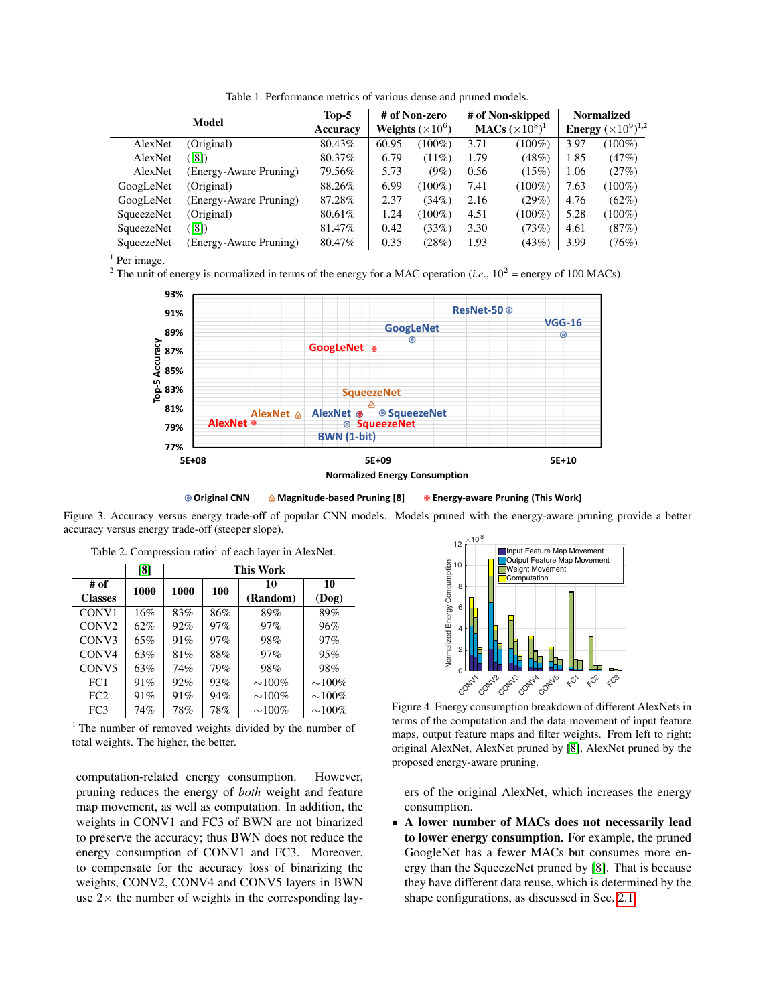|                   | Model                  | $Top-5$<br>Accuracy |       | # of Non-zero<br><b>Weights</b> $(\times 10^6)$ |      | # of Non-skipped<br><b>MACs</b> $(\times 10^8)^1$ |      | <b>Normalized</b><br><b>Energy</b> $(\times 10^{9})^{1,2}$ |
|-------------------|------------------------|---------------------|-------|-------------------------------------------------|------|---------------------------------------------------|------|------------------------------------------------------------|
| AlexNet           | (Original)             | 80.43%              | 60.95 | $100\%)$                                        | 3.71 | $(100\%)$                                         | 3.97 | $(100\%)$                                                  |
| AlexNet           | (181)                  | 80.37%              | 6.79  | $(11\%)$                                        | 1.79 | (48%)                                             | 1.85 | (47%)                                                      |
| AlexNet           | (Energy-Aware Pruning) | 79.56%              | 5.73  | $(9\%)$                                         | 0.56 | (15%)                                             | 1.06 | (27%)                                                      |
| GoogLeNet         | (Original)             | 88.26%              | 6.99  | $(100\%)$                                       | 7.41 | $(100\%)$                                         | 7.63 | $(100\%)$                                                  |
| GoogLeNet         | (Energy-Aware Pruning) | 87.28%              | 2.37  | (34%)                                           | 2.16 | (29%)                                             | 4.76 | (62%)                                                      |
| SqueezeNet        | (Original)             | 80.61%              | 1.24  | $100\%)$                                        | 4.51 | $(100\%)$                                         | 5.28 | $(100\%)$                                                  |
| <b>SqueezeNet</b> | (181)                  | 81.47%              | 0.42  | (33%)                                           | 3.30 | (73%)                                             | 4.61 | (87%)                                                      |
| SqueezeNet        | (Energy-Aware Pruning) | 80.47%              | 0.35  | (28%)                                           | 1.93 | (43%)                                             | 3.99 | (76%)                                                      |

<span id="page-6-0"></span>Table 1. Performance metrics of various dense and pruned models.

<sup>1</sup> Per image.

<sup>2</sup> The unit of energy is normalized in terms of the energy for a MAC operation (*i.e.*,  $10^2$  = energy of 100 MACs).



**Original CNN Magnitude-based Pruning [8] Energy-aware Pruning (This Work)**

Figure 3. Accuracy versus energy trade-off of popular CNN models. Models pruned with the energy-aware pruning provide a better accuracy versus energy trade-off (steeper slope).

|                   | [8]  |      |     | <b>This Work</b> |              |  |
|-------------------|------|------|-----|------------------|--------------|--|
| # of              | 1000 | 1000 | 100 | 10               | 10           |  |
| <b>Classes</b>    |      |      |     | (Random)         | (Dog)        |  |
| CONV <sub>1</sub> | 16%  | 83%  | 86% | 89%              | 89%          |  |
| CONV <sub>2</sub> | 62%  | 92%  | 97% | 97%              | 96%          |  |
| CONV <sub>3</sub> | 65%  | 91%  | 97% | 98%              | 97%          |  |
| CONV <sub>4</sub> | 63%  | 81%  | 88% | 97%              | 95%          |  |
| CONV <sub>5</sub> | 63%  | 74%  | 79% | 98%              | 98%          |  |
| FC1               | 91%  | 92%  | 93% | $\sim 100\%$     | $\sim 100\%$ |  |
| FC2               | 91%  | 91%  | 94% | $\sim$ 100%      | $\sim$ 100%  |  |
| FC <sub>3</sub>   | 74%  | 78%  | 78% | $\sim 100\%$     | $\sim 100\%$ |  |

<span id="page-6-2"></span><span id="page-6-1"></span>Table 2. Compression ratio<sup>1</sup> of each layer in AlexNet.

<sup>1</sup> The number of removed weights divided by the number of total weights. The higher, the better.

computation-related energy consumption. However, pruning reduces the energy of *both* weight and feature map movement, as well as computation. In addition, the weights in CONV1 and FC3 of BWN are not binarized to preserve the accuracy; thus BWN does not reduce the energy consumption of CONV1 and FC3. Moreover, to compensate for the accuracy loss of binarizing the weights, CONV2, CONV4 and CONV5 layers in BWN FC1 91% 92% 93%  $\sim 100\%$   $\sim 100\%$   $\sim 100\%$   $\sim 100\%$   $\sim 100\%$  Figure 4. Energy consumption.<br>The number of removed weights divided by the number of the computation-related energy consumption. However, pruning redu



<span id="page-6-3"></span>Figure 4. Energy consumption breakdown of different AlexNets in terms of the computation and the data movement of input feature maps, output feature maps and filter weights. From left to right: original AlexNet, AlexNet pruned by [\[8\]](#page-8-14), AlexNet pruned by the proposed energy-aware pruning.

ers of the original AlexNet, which increases the energy consumption.

• A lower number of MACs does not necessarily lead to lower energy consumption. For example, the pruned GoogleNet has a fewer MACs but consumes more energy than the SqueezeNet pruned by [\[8\]](#page-8-14). That is because they have different data reuse, which is determined by the shape configurations, as discussed in Sec. [2.1.](#page-1-1)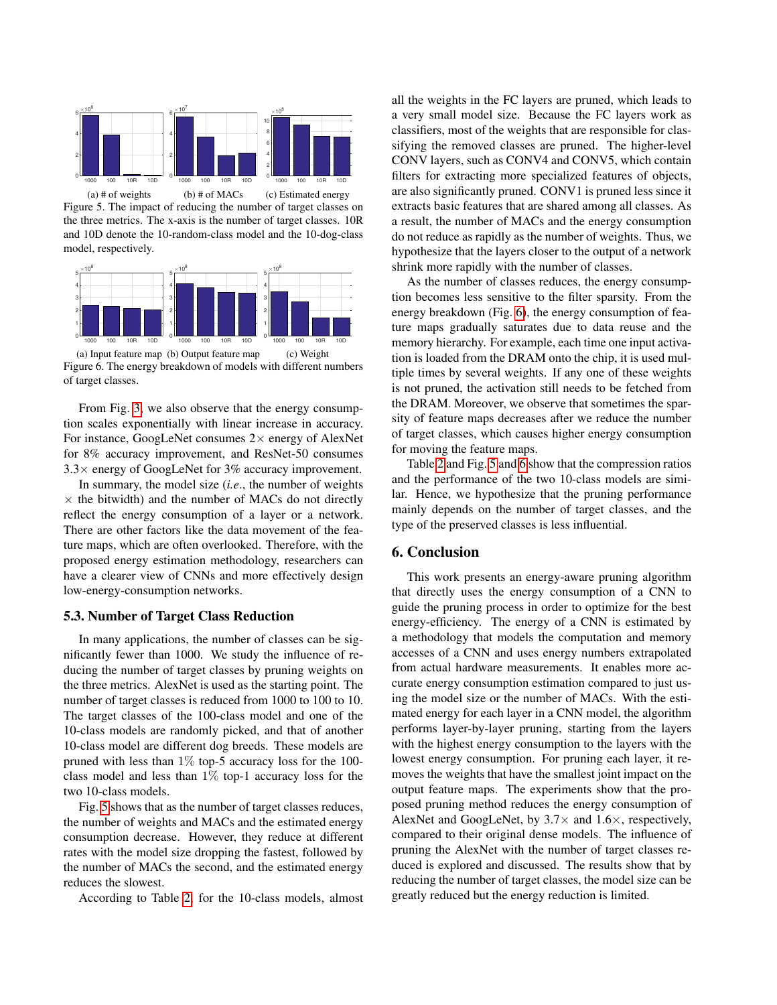

<span id="page-7-0"></span>(a) # of weights (b) # of MACs (c) Estimated energy Figure 5. The impact of reducing the number of target classes on the three metrics. The x-axis is the number of target classes. 10R and 10D denote the 10-random-class model and the 10-dog-class model, respectively.



<span id="page-7-1"></span>(a) Input feature map (b) Output feature map (c) Weight Figure 6. The energy breakdown of models with different numbers of target classes.

From Fig. [3,](#page-6-2) we also observe that the energy consumption scales exponentially with linear increase in accuracy. For instance, GoogLeNet consumes  $2 \times$  energy of AlexNet for 8% accuracy improvement, and ResNet-50 consumes  $3.3\times$  energy of GoogLeNet for 3% accuracy improvement.

In summary, the model size (*i.e*., the number of weights  $\times$  the bitwidth) and the number of MACs do not directly reflect the energy consumption of a layer or a network. There are other factors like the data movement of the feature maps, which are often overlooked. Therefore, with the proposed energy estimation methodology, researchers can have a clearer view of CNNs and more effectively design low-energy-consumption networks.

#### 5.3. Number of Target Class Reduction

In many applications, the number of classes can be significantly fewer than 1000. We study the influence of reducing the number of target classes by pruning weights on the three metrics. AlexNet is used as the starting point. The number of target classes is reduced from 1000 to 100 to 10. The target classes of the 100-class model and one of the 10-class models are randomly picked, and that of another 10-class model are different dog breeds. These models are pruned with less than  $1\%$  top-5 accuracy loss for the 100class model and less than  $1\%$  top-1 accuracy loss for the two 10-class models.

Fig. [5](#page-7-0) shows that as the number of target classes reduces, the number of weights and MACs and the estimated energy consumption decrease. However, they reduce at different rates with the model size dropping the fastest, followed by the number of MACs the second, and the estimated energy reduces the slowest.

According to Table [2,](#page-6-1) for the 10-class models, almost

all the weights in the FC layers are pruned, which leads to a very small model size. Because the FC layers work as classifiers, most of the weights that are responsible for classifying the removed classes are pruned. The higher-level CONV layers, such as CONV4 and CONV5, which contain filters for extracting more specialized features of objects, are also significantly pruned. CONV1 is pruned less since it extracts basic features that are shared among all classes. As a result, the number of MACs and the energy consumption do not reduce as rapidly as the number of weights. Thus, we hypothesize that the layers closer to the output of a network shrink more rapidly with the number of classes.

As the number of classes reduces, the energy consumption becomes less sensitive to the filter sparsity. From the energy breakdown (Fig. [6\)](#page-7-1), the energy consumption of feature maps gradually saturates due to data reuse and the memory hierarchy. For example, each time one input activation is loaded from the DRAM onto the chip, it is used multiple times by several weights. If any one of these weights is not pruned, the activation still needs to be fetched from the DRAM. Moreover, we observe that sometimes the sparsity of feature maps decreases after we reduce the number of target classes, which causes higher energy consumption for moving the feature maps.

Table [2](#page-6-1) and Fig. [5](#page-7-0) and [6](#page-7-1) show that the compression ratios and the performance of the two 10-class models are similar. Hence, we hypothesize that the pruning performance mainly depends on the number of target classes, and the type of the preserved classes is less influential.

# 6. Conclusion

This work presents an energy-aware pruning algorithm that directly uses the energy consumption of a CNN to guide the pruning process in order to optimize for the best energy-efficiency. The energy of a CNN is estimated by a methodology that models the computation and memory accesses of a CNN and uses energy numbers extrapolated from actual hardware measurements. It enables more accurate energy consumption estimation compared to just using the model size or the number of MACs. With the estimated energy for each layer in a CNN model, the algorithm performs layer-by-layer pruning, starting from the layers with the highest energy consumption to the layers with the lowest energy consumption. For pruning each layer, it removes the weights that have the smallest joint impact on the output feature maps. The experiments show that the proposed pruning method reduces the energy consumption of AlexNet and GoogLeNet, by  $3.7\times$  and  $1.6\times$ , respectively, compared to their original dense models. The influence of pruning the AlexNet with the number of target classes reduced is explored and discussed. The results show that by reducing the number of target classes, the model size can be greatly reduced but the energy reduction is limited.